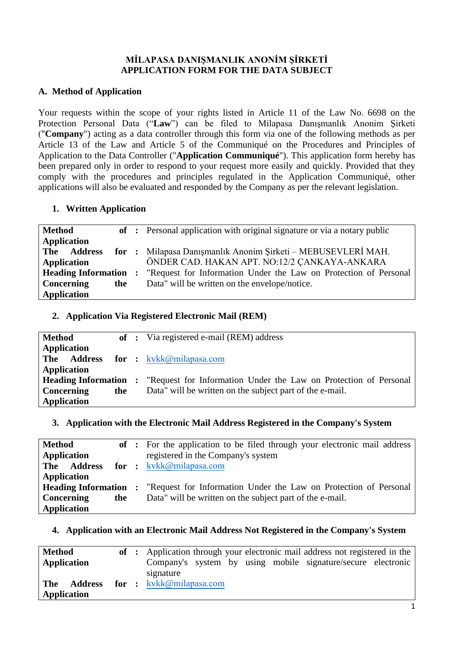#### **MİLAPASA DANIŞMANLIK ANONİM ŞİRKETİ APPLICATION FORM FOR THE DATA SUBJECT**

#### **A. Method of Application**

Your requests within the scope of your rights listed in Article 11 of the Law No. 6698 on the Protection Personal Data ("**Law**") can be filed to Milapasa Danışmanlık Anonim Şirketi ("**Company**") acting as a data controller through this form via one of the following methods as per Article 13 of the Law and Article 5 of the Communiqué on the Procedures and Principles of Application to the Data Controller ("**Application Communiqué**"). This application form hereby has been prepared only in order to respond to your request more easily and quickly. Provided that they comply with the procedures and principles regulated in the Application Communiqué, other applications will also be evaluated and responded by the Company as per the relevant legislation.

#### **1. Written Application**

| <b>Method</b>      |  | of : Personal application with original signature or via a notary public                     |  |
|--------------------|--|----------------------------------------------------------------------------------------------|--|
| <b>Application</b> |  |                                                                                              |  |
| The Address        |  | for : Milapasa Danışmanlık Anonim Şirketi – MEBUSEVLERİ MAH.                                 |  |
| <b>Application</b> |  | ÖNDER CAD. HAKAN APT. NO:12/2 ÇANKAYA-ANKARA                                                 |  |
|                    |  | <b>Heading Information:</b> "Request for Information Under the Law on Protection of Personal |  |
| Concerning<br>the  |  | Data" will be written on the envelope/notice.                                                |  |
| Application        |  |                                                                                              |  |

## **2. Application Via Registered Electronic Mail (REM)**

| Method                                   |  | of : Via registered e-mail (REM) address                                                                                                                  |  |
|------------------------------------------|--|-----------------------------------------------------------------------------------------------------------------------------------------------------------|--|
| <b>Application</b><br><b>Application</b> |  | <b>The Address for :</b> kykk@milapasa.com                                                                                                                |  |
| <b>Concerning</b><br>the                 |  | <b>Heading Information :</b> "Request for Information Under the Law on Protection of Personal<br>Data" will be written on the subject part of the e-mail. |  |
| Application                              |  |                                                                                                                                                           |  |

## **3. Application with the Electronic Mail Address Registered in the Company's System**

| <b>Method</b>                |     | of : For the application to be filed through your electronic mail address |  |
|------------------------------|-----|---------------------------------------------------------------------------|--|
| Application                  |     | registered in the Company's system                                        |  |
| <b>Address</b><br>The        |     | <b>for</b> : $k\nu k\n\omega$ milapasa.com                                |  |
| <b>Application</b>           |     |                                                                           |  |
| <b>Heading Information :</b> |     | "Request for Information Under the Law on Protection of Personal          |  |
| <b>Concerning</b>            | the | Data" will be written on the subject part of the e-mail.                  |  |
| Application                  |     |                                                                           |  |

## **4. Application with an Electronic Mail Address Not Registered in the Company's System**

| <b>Method</b><br>Application |  | of : Application through your electronic mail address not registered in the<br>Company's system by using mobile signature/secure electronic<br>signature |
|------------------------------|--|----------------------------------------------------------------------------------------------------------------------------------------------------------|
| <b>The</b><br>Application    |  | <b>Address for :</b> kykk@milapasa.com                                                                                                                   |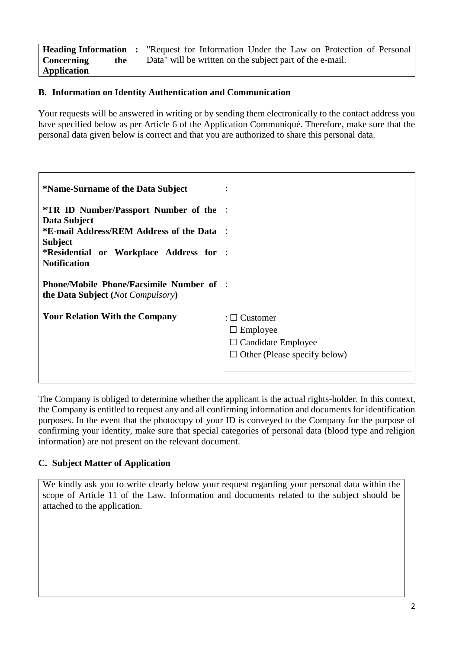**Heading Information Concerning the Application :** "Request for Information Under the Law on Protection of Personal Data" will be written on the subject part of the e-mail.

## **B. Information on Identity Authentication and Communication**

Your requests will be answered in writing or by sending them electronically to the contact address you have specified below as per Article 6 of the Application Communiqué. Therefore, make sure that the personal data given below is correct and that you are authorized to share this personal data.

| *Name-Surname of the Data Subject                                                                    |                                     |  |
|------------------------------------------------------------------------------------------------------|-------------------------------------|--|
| <b>*TR ID Number/Passport Number of the :</b>                                                        |                                     |  |
| Data Subject<br>*E-mail Address/REM Address of the Data :                                            |                                     |  |
| <b>Subject</b>                                                                                       |                                     |  |
| *Residential or Workplace Address for :<br><b>Notification</b>                                       |                                     |  |
|                                                                                                      |                                     |  |
| <b>Phone/Mobile Phone/Facsimile Number of :</b><br><b>the Data Subject</b> ( <i>Not Compulsory</i> ) |                                     |  |
|                                                                                                      |                                     |  |
| <b>Your Relation With the Company</b>                                                                | : $\Box$ Customer                   |  |
|                                                                                                      | $\Box$ Employee                     |  |
|                                                                                                      | $\Box$ Candidate Employee           |  |
|                                                                                                      | $\Box$ Other (Please specify below) |  |
|                                                                                                      |                                     |  |
|                                                                                                      |                                     |  |

The Company is obliged to determine whether the applicant is the actual rights-holder. In this context, the Company is entitled to request any and all confirming information and documents for identification purposes. In the event that the photocopy of your ID is conveyed to the Company for the purpose of confirming your identity, make sure that special categories of personal data (blood type and religion information) are not present on the relevant document.

## **C. Subject Matter of Application**

We kindly ask you to write clearly below your request regarding your personal data within the scope of Article 11 of the Law. Information and documents related to the subject should be attached to the application.